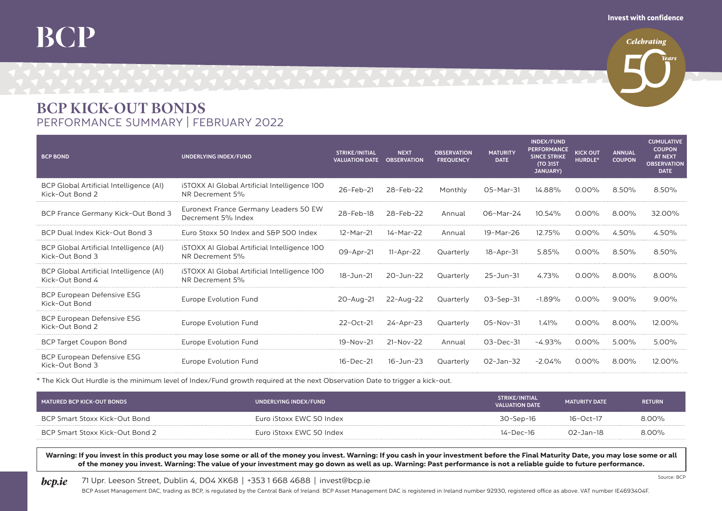## BCP

**Celebrating** 

## BCP KICK-OUT BONDS PERFORMANCE SUMMARY | FEBRUARY 2022

| <b>BCP BOND</b>                                            | UNDERLYING INDEX/FUND                                                  | <b>STRIKE/INITIAL</b><br><b>VALUATION DATE</b> | <b>NEXT</b><br><b>OBSERVATION</b> | <b>OBSERVATION</b><br><b>FREQUENCY</b> | <b>MATURITY</b><br><b>DATE</b> | <b>INDEX/FUND</b><br><b>PERFORMANCE</b><br><b>SINCE STRIKE</b><br><b>(TO 31ST)</b><br><b>JANUARY)</b> | <b>KICK OUT</b><br><b>HURDLE*</b> | <b>ANNUAL</b><br><b>COUPON</b> | <b>CUMULATIVE</b><br><b>COUPON</b><br><b>AT NEXT</b><br><b>OBSERVATION</b><br><b>DATE</b> |
|------------------------------------------------------------|------------------------------------------------------------------------|------------------------------------------------|-----------------------------------|----------------------------------------|--------------------------------|-------------------------------------------------------------------------------------------------------|-----------------------------------|--------------------------------|-------------------------------------------------------------------------------------------|
| BCP Global Artificial Intelligence (AI)<br>Kick-Out Bond 2 | <b>iSTOXX AI Global Artificial Intelligence 100</b><br>NR Decrement 5% | 26-Feb-21                                      | 28-Feb-22                         | Monthly                                | 05-Mar-31                      | 14.88%                                                                                                | $0.00\%$                          | 8.50%                          | 8.50%                                                                                     |
| BCP France Germany Kick-Out Bond 3                         | Euronext France Germany Leaders 50 EW<br>Decrement 5% Index            | 28-Feb-18                                      | 28-Feb-22                         | Annual                                 | 06-Mar-24                      | 10.54%                                                                                                | $0.00\%$                          | 8.00%                          | 32.00%                                                                                    |
| BCP Dual Index Kick-Out Bond 3                             | Euro Stoxx 50 Index and S&P 500 Index                                  | 12-Mar-21                                      | 14-Mar-22                         | Annual                                 | 19-Mar-26                      | 12.75%                                                                                                | $0.00\%$                          | 4.50%                          | 4.50%                                                                                     |
| BCP Global Artificial Intelligence (AI)<br>Kick-Out Bond 3 | iSTOXX AI Global Artificial Intelligence 100<br>NR Decrement 5%        | 09-Apr-21                                      | $11-Apr-22$                       | Quarterly                              | $18 - Apr - 31$                | 5.85%                                                                                                 | $0.00\%$                          | $8.50\%$                       | 8.50%                                                                                     |
| BCP Global Artificial Intelligence (AI)<br>Kick-Out Bond 4 | <b>iSTOXX AI Global Artificial Intelligence 100</b><br>NR Decrement 5% | 18-Jun-21                                      | $20 - Jun - 22$                   | Quarterly                              | 25-Jun-31                      | 4.73%                                                                                                 | $0.00\%$                          | 8.00%                          | $8.00\%$                                                                                  |
| BCP European Defensive ESG<br>Kick-Out Bond                | Europe Evolution Fund                                                  | $20 - Aug - 21$                                | 22-Aug-22                         | Quarterly                              | $O3-Sep-31$                    | $-1.89%$                                                                                              | $0.00\%$                          | $9.00\%$                       | $9.00\%$                                                                                  |
| BCP European Defensive ESG<br>Kick-Out Bond 2              | Europe Evolution Fund                                                  | 22-Oct-21                                      | $24 - Apr - 23$                   | Quarterly                              | 05-Nov-31                      | 1.41%                                                                                                 | $0.00\%$                          | 8.00%                          | 12.00%                                                                                    |
| <b>BCP Target Coupon Bond</b>                              | Europe Evolution Fund                                                  | 19-Nov-21                                      | $21-Nov-22$                       | Annual                                 | 03-Dec-31                      | -4.93%                                                                                                | $0.00\%$                          | $5.00\%$                       | $5.00\%$                                                                                  |
| <b>BCP European Defensive ESG</b><br>Kick-Out Bond 3       | Europe Evolution Fund                                                  | $16 - Dec-21$                                  | $16 - Jun - 23$                   | Quarterly                              | $O2 - Jan - 32$                | $-2.04%$                                                                                              | $0.00\%$                          | $8.00\%$                       | 12.00%                                                                                    |

\* The Kick Out Hurdle is the minimum level of Index/Fund growth required at the next Observation Date to trigger a kick-out.

| MATURED BCP KICK-OUT BONDS      | UNDERLYING INDEX/FUND    | STRIKE/INITIAL<br><b>VALUATION DATE</b> | <b>MATURITY DATE</b> | <b>RETURN</b> |
|---------------------------------|--------------------------|-----------------------------------------|----------------------|---------------|
| BCP Smart Stoxx Kick-Out Bond   | Euro iStoxx EWC 50 Index | 30-Sep-16                               | $16 - Oct - 17$      | $8.00\%$      |
| BCP Smart Stoxx Kick-Out Bond 2 | Euro iStoxx EWC 50 Index | 14-Dec-16                               | 02-Jan-18            | $8.00\%$      |

Warning: If you invest in this product you may lose some or all of the money you invest. Warning: If you cash in your investment before the Final Maturity Date, you may lose some or all of the money you invest. Warning: The value of your investment may go down as well as up. Warning: Past performance is not a reliable guide to future performance.

## **bcp.ie** 71 Upr. Leeson Street, Dublin 4, DO4 XK68 | +353 1 668 4688 | invest@bcp.ie

BCP Asset Management DAC, trading as BCP, is regulated by the Central Bank of Ireland. BCP Asset Management DAC is registered in Ireland number 92930, registered office as above. VAT number IE4693404F.